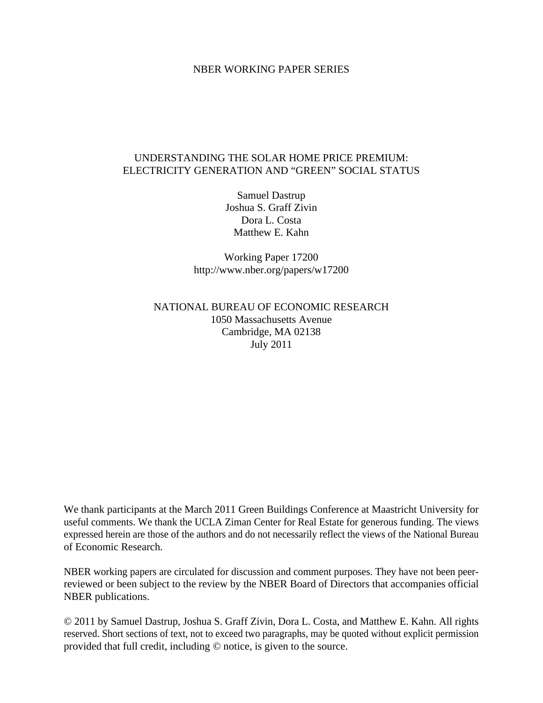#### NBER WORKING PAPER SERIES

# UNDERSTANDING THE SOLAR HOME PRICE PREMIUM: ELECTRICITY GENERATION AND "GREEN" SOCIAL STATUS

Samuel Dastrup Joshua S. Graff Zivin Dora L. Costa Matthew E. Kahn

Working Paper 17200 http://www.nber.org/papers/w17200

# NATIONAL BUREAU OF ECONOMIC RESEARCH 1050 Massachusetts Avenue Cambridge, MA 02138 July 2011

We thank participants at the March 2011 Green Buildings Conference at Maastricht University for useful comments. We thank the UCLA Ziman Center for Real Estate for generous funding. The views expressed herein are those of the authors and do not necessarily reflect the views of the National Bureau of Economic Research.

NBER working papers are circulated for discussion and comment purposes. They have not been peerreviewed or been subject to the review by the NBER Board of Directors that accompanies official NBER publications.

© 2011 by Samuel Dastrup, Joshua S. Graff Zivin, Dora L. Costa, and Matthew E. Kahn. All rights reserved. Short sections of text, not to exceed two paragraphs, may be quoted without explicit permission provided that full credit, including © notice, is given to the source.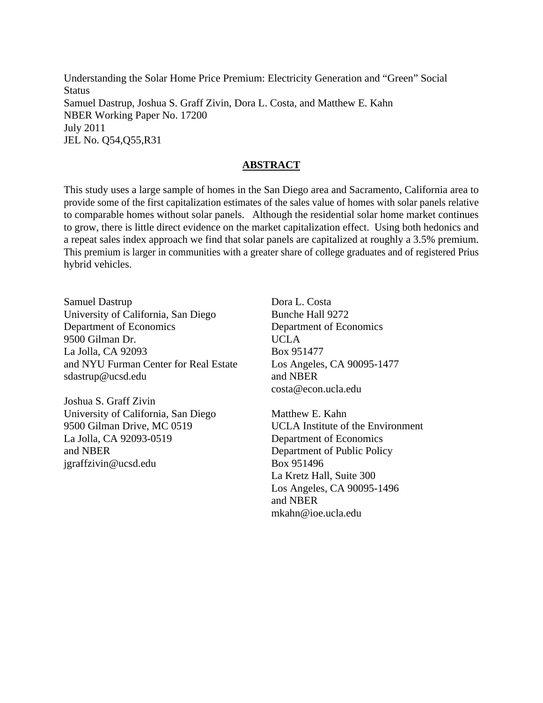Understanding the Solar Home Price Premium: Electricity Generation and "Green" Social **Status** Samuel Dastrup, Joshua S. Graff Zivin, Dora L. Costa, and Matthew E. Kahn NBER Working Paper No. 17200 July 2011 JEL No. Q54,Q55,R31

## **ABSTRACT**

This study uses a large sample of homes in the San Diego area and Sacramento, California area to provide some of the first capitalization estimates of the sales value of homes with solar panels relative to comparable homes without solar panels. Although the residential solar home market continues to grow, there is little direct evidence on the market capitalization effect. Using both hedonics and a repeat sales index approach we find that solar panels are capitalized at roughly a 3.5% premium. This premium is larger in communities with a greater share of college graduates and of registered Prius hybrid vehicles.

Samuel Dastrup University of California, San Diego Department of Economics 9500 Gilman Dr. La Jolla, CA 92093 and NYU Furman Center for Real Estate sdastrup@ucsd.edu

Joshua S. Graff Zivin University of California, San Diego 9500 Gilman Drive, MC 0519 La Jolla, CA 92093-0519 and NBER jgraffzivin@ucsd.edu

Dora L. Costa Bunche Hall 9272 Department of Economics UCLA Box 951477 Los Angeles, CA 90095-1477 and NBER costa@econ.ucla.edu

Matthew E. Kahn UCLA Institute of the Environment Department of Economics Department of Public Policy Box 951496 La Kretz Hall, Suite 300 Los Angeles, CA 90095-1496 and NBER mkahn@ioe.ucla.edu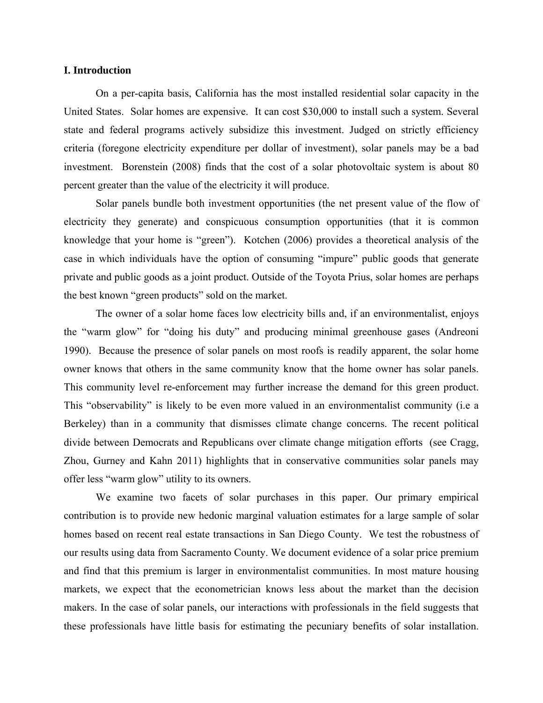#### **I. Introduction**

On a per-capita basis, California has the most installed residential solar capacity in the United States. Solar homes are expensive. It can cost \$30,000 to install such a system. Several state and federal programs actively subsidize this investment. Judged on strictly efficiency criteria (foregone electricity expenditure per dollar of investment), solar panels may be a bad investment. Borenstein (2008) finds that the cost of a solar photovoltaic system is about 80 percent greater than the value of the electricity it will produce.

Solar panels bundle both investment opportunities (the net present value of the flow of electricity they generate) and conspicuous consumption opportunities (that it is common knowledge that your home is "green"). Kotchen (2006) provides a theoretical analysis of the case in which individuals have the option of consuming "impure" public goods that generate private and public goods as a joint product. Outside of the Toyota Prius, solar homes are perhaps the best known "green products" sold on the market.

The owner of a solar home faces low electricity bills and, if an environmentalist, enjoys the "warm glow" for "doing his duty" and producing minimal greenhouse gases (Andreoni 1990). Because the presence of solar panels on most roofs is readily apparent, the solar home owner knows that others in the same community know that the home owner has solar panels. This community level re-enforcement may further increase the demand for this green product. This "observability" is likely to be even more valued in an environmentalist community (i.e a Berkeley) than in a community that dismisses climate change concerns. The recent political divide between Democrats and Republicans over climate change mitigation efforts (see Cragg, Zhou, Gurney and Kahn 2011) highlights that in conservative communities solar panels may offer less "warm glow" utility to its owners.

We examine two facets of solar purchases in this paper. Our primary empirical contribution is to provide new hedonic marginal valuation estimates for a large sample of solar homes based on recent real estate transactions in San Diego County. We test the robustness of our results using data from Sacramento County. We document evidence of a solar price premium and find that this premium is larger in environmentalist communities. In most mature housing markets, we expect that the econometrician knows less about the market than the decision makers. In the case of solar panels, our interactions with professionals in the field suggests that these professionals have little basis for estimating the pecuniary benefits of solar installation.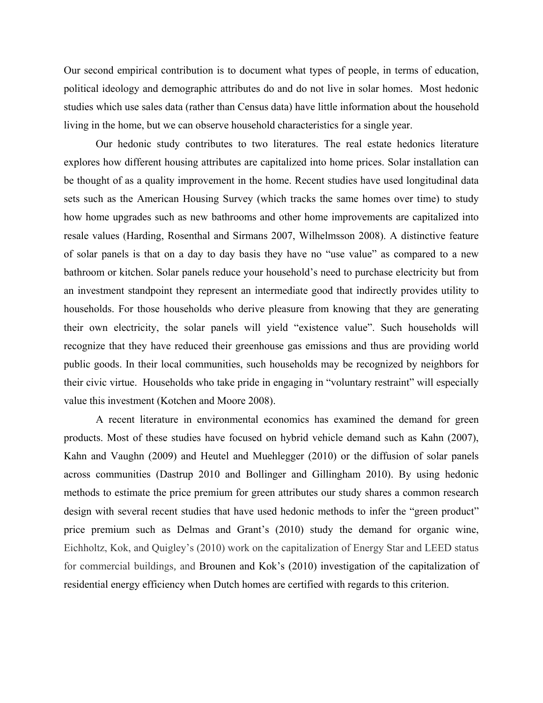Our second empirical contribution is to document what types of people, in terms of education, political ideology and demographic attributes do and do not live in solar homes. Most hedonic studies which use sales data (rather than Census data) have little information about the household living in the home, but we can observe household characteristics for a single year.

Our hedonic study contributes to two literatures. The real estate hedonics literature explores how different housing attributes are capitalized into home prices. Solar installation can be thought of as a quality improvement in the home. Recent studies have used longitudinal data sets such as the American Housing Survey (which tracks the same homes over time) to study how home upgrades such as new bathrooms and other home improvements are capitalized into resale values (Harding, Rosenthal and Sirmans 2007, Wilhelmsson 2008). A distinctive feature of solar panels is that on a day to day basis they have no "use value" as compared to a new bathroom or kitchen. Solar panels reduce your household's need to purchase electricity but from an investment standpoint they represent an intermediate good that indirectly provides utility to households. For those households who derive pleasure from knowing that they are generating their own electricity, the solar panels will yield "existence value". Such households will recognize that they have reduced their greenhouse gas emissions and thus are providing world public goods. In their local communities, such households may be recognized by neighbors for their civic virtue. Households who take pride in engaging in "voluntary restraint" will especially value this investment (Kotchen and Moore 2008).

A recent literature in environmental economics has examined the demand for green products. Most of these studies have focused on hybrid vehicle demand such as Kahn (2007), Kahn and Vaughn (2009) and Heutel and Muehlegger (2010) or the diffusion of solar panels across communities (Dastrup 2010 and Bollinger and Gillingham 2010). By using hedonic methods to estimate the price premium for green attributes our study shares a common research design with several recent studies that have used hedonic methods to infer the "green product" price premium such as Delmas and Grant's (2010) study the demand for organic wine, Eichholtz, Kok, and Quigley's (2010) work on the capitalization of Energy Star and LEED status for commercial buildings*,* and Brounen and Kok's (2010) investigation of the capitalization of residential energy efficiency when Dutch homes are certified with regards to this criterion.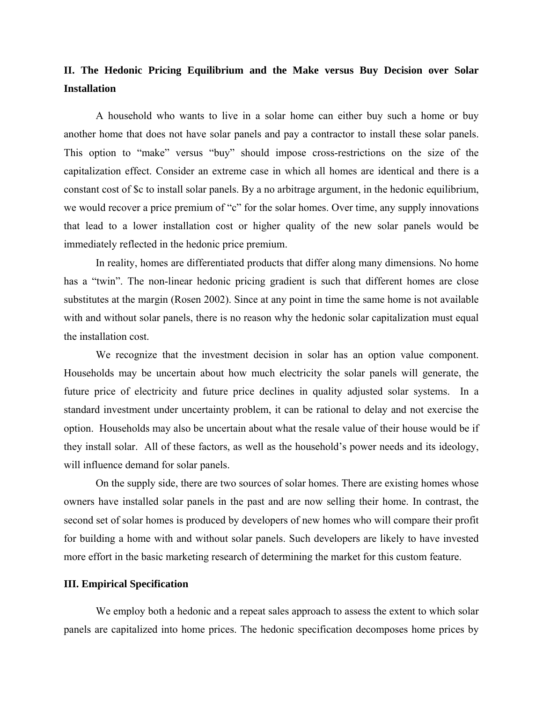# **II. The Hedonic Pricing Equilibrium and the Make versus Buy Decision over Solar Installation**

A household who wants to live in a solar home can either buy such a home or buy another home that does not have solar panels and pay a contractor to install these solar panels. This option to "make" versus "buy" should impose cross-restrictions on the size of the capitalization effect. Consider an extreme case in which all homes are identical and there is a constant cost of \$c to install solar panels. By a no arbitrage argument, in the hedonic equilibrium, we would recover a price premium of "c" for the solar homes. Over time, any supply innovations that lead to a lower installation cost or higher quality of the new solar panels would be immediately reflected in the hedonic price premium.

In reality, homes are differentiated products that differ along many dimensions. No home has a "twin". The non-linear hedonic pricing gradient is such that different homes are close substitutes at the margin (Rosen 2002). Since at any point in time the same home is not available with and without solar panels, there is no reason why the hedonic solar capitalization must equal the installation cost.

We recognize that the investment decision in solar has an option value component. Households may be uncertain about how much electricity the solar panels will generate, the future price of electricity and future price declines in quality adjusted solar systems. In a standard investment under uncertainty problem, it can be rational to delay and not exercise the option. Households may also be uncertain about what the resale value of their house would be if they install solar. All of these factors, as well as the household's power needs and its ideology, will influence demand for solar panels.

On the supply side, there are two sources of solar homes. There are existing homes whose owners have installed solar panels in the past and are now selling their home. In contrast, the second set of solar homes is produced by developers of new homes who will compare their profit for building a home with and without solar panels. Such developers are likely to have invested more effort in the basic marketing research of determining the market for this custom feature.

#### **III. Empirical Specification**

We employ both a hedonic and a repeat sales approach to assess the extent to which solar panels are capitalized into home prices. The hedonic specification decomposes home prices by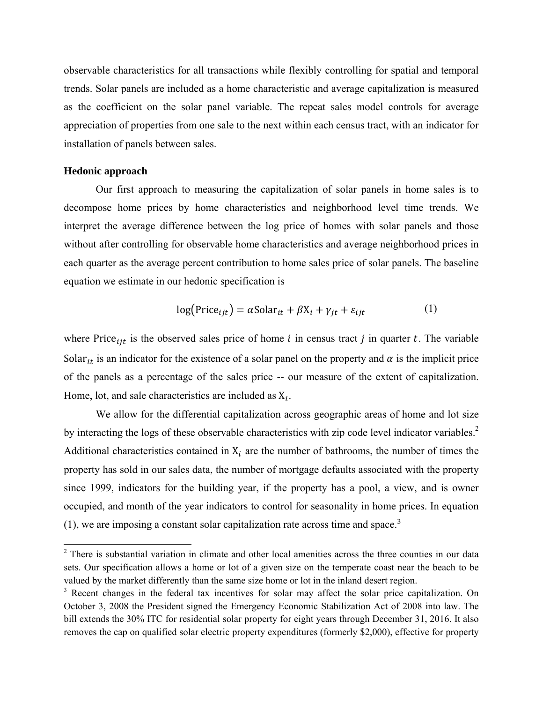observable characteristics for all transactions while flexibly controlling for spatial and temporal trends. Solar panels are included as a home characteristic and average capitalization is measured as the coefficient on the solar panel variable. The repeat sales model controls for average appreciation of properties from one sale to the next within each census tract, with an indicator for installation of panels between sales.

#### **Hedonic approach**

Our first approach to measuring the capitalization of solar panels in home sales is to decompose home prices by home characteristics and neighborhood level time trends. We interpret the average difference between the log price of homes with solar panels and those without after controlling for observable home characteristics and average neighborhood prices in each quarter as the average percent contribution to home sales price of solar panels. The baseline equation we estimate in our hedonic specification is

$$
log(Price_{ijt}) = \alpha Solar_{it} + \beta X_i + \gamma_{jt} + \varepsilon_{ijt}
$$
 (1)

where Price<sub>it</sub> is the observed sales price of home *i* in census tract *j* in quarter *t*. The variable Solar<sub>it</sub> is an indicator for the existence of a solar panel on the property and  $\alpha$  is the implicit price of the panels as a percentage of the sales price -- our measure of the extent of capitalization. Home, lot, and sale characteristics are included as  $X_i$ .

We allow for the differential capitalization across geographic areas of home and lot size by interacting the logs of these observable characteristics with zip code level indicator variables.<sup>2</sup> Additional characteristics contained in  $X_i$  are the number of bathrooms, the number of times the property has sold in our sales data, the number of mortgage defaults associated with the property since 1999, indicators for the building year, if the property has a pool, a view, and is owner occupied, and month of the year indicators to control for seasonality in home prices. In equation  $(1)$ , we are imposing a constant solar capitalization rate across time and space.<sup>3</sup>

<sup>&</sup>lt;sup>2</sup> There is substantial variation in climate and other local amenities across the three counties in our data sets. Our specification allows a home or lot of a given size on the temperate coast near the beach to be valued by the market differently than the same size home or lot in the inland desert region.

<sup>&</sup>lt;sup>3</sup> Recent changes in the federal tax incentives for solar may affect the solar price capitalization. On October 3, 2008 the President signed the Emergency Economic Stabilization Act of 2008 into law. The bill extends the 30% ITC for residential solar property for eight years through December 31, 2016. It also removes the cap on qualified solar electric property expenditures (formerly \$2,000), effective for property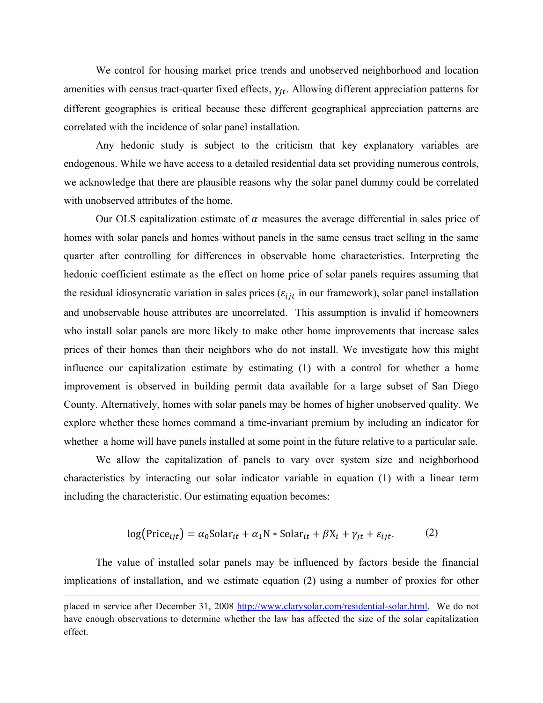We control for housing market price trends and unobserved neighborhood and location amenities with census tract-quarter fixed effects,  $\gamma_{it}$ . Allowing different appreciation patterns for different geographies is critical because these different geographical appreciation patterns are correlated with the incidence of solar panel installation.

Any hedonic study is subject to the criticism that key explanatory variables are endogenous. While we have access to a detailed residential data set providing numerous controls, we acknowledge that there are plausible reasons why the solar panel dummy could be correlated with unobserved attributes of the home.

Our OLS capitalization estimate of  $\alpha$  measures the average differential in sales price of homes with solar panels and homes without panels in the same census tract selling in the same quarter after controlling for differences in observable home characteristics. Interpreting the hedonic coefficient estimate as the effect on home price of solar panels requires assuming that the residual idiosyncratic variation in sales prices ( $\varepsilon_{i j t}$  in our framework), solar panel installation and unobservable house attributes are uncorrelated. This assumption is invalid if homeowners who install solar panels are more likely to make other home improvements that increase sales prices of their homes than their neighbors who do not install. We investigate how this might influence our capitalization estimate by estimating  $(1)$  with a control for whether a home improvement is observed in building permit data available for a large subset of San Diego County. Alternatively, homes with solar panels may be homes of higher unobserved quality. We explore whether these homes command a time-invariant premium by including an indicator for whether a home will have panels installed at some point in the future relative to a particular sale.

We allow the capitalization of panels to vary over system size and neighborhood characteristics by interacting our solar indicator variable in equation (1) with a linear term including the characteristic. Our estimating equation becomes:

$$
log(Price_{ijt}) = \alpha_0 Solar_{it} + \alpha_1 N * Solar_{it} + \beta X_i + \gamma_{jt} + \varepsilon_{ijt}.
$$
 (2)

The value of installed solar panels may be influenced by factors beside the financial implications of installation, and we estimate equation (2) using a number of proxies for other

placed in service after December 31, 2008 http://www.clarysolar.com/residential-solar.html. We do not have enough observations to determine whether the law has affected the size of the solar capitalization effect.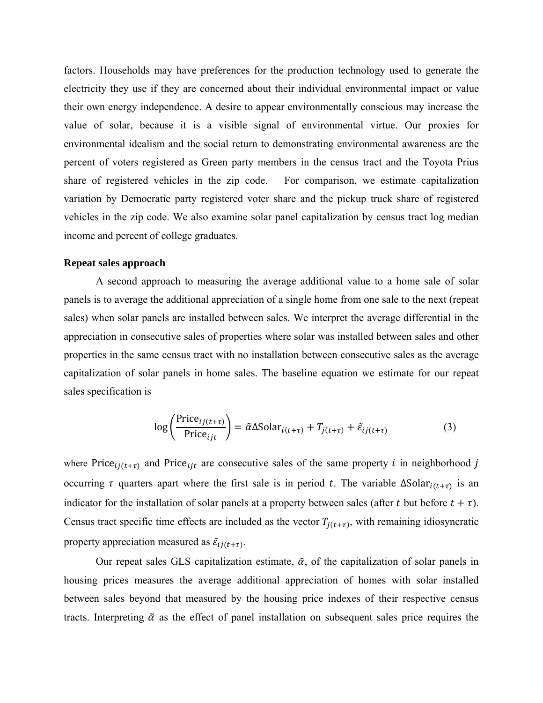factors. Households may have preferences for the production technology used to generate the electricity they use if they are concerned about their individual environmental impact or value their own energy independence. A desire to appear environmentally conscious may increase the value of solar, because it is a visible signal of environmental virtue. Our proxies for environmental idealism and the social return to demonstrating environmental awareness are the percent of voters registered as Green party members in the census tract and the Toyota Prius share of registered vehicles in the zip code. For comparison, we estimate capitalization variation by Democratic party registered voter share and the pickup truck share of registered vehicles in the zip code. We also examine solar panel capitalization by census tract log median income and percent of college graduates.

#### **Repeat sales approach**

A second approach to measuring the average additional value to a home sale of solar panels is to average the additional appreciation of a single home from one sale to the next (repeat sales) when solar panels are installed between sales. We interpret the average differential in the appreciation in consecutive sales of properties where solar was installed between sales and other properties in the same census tract with no installation between consecutive sales as the average capitalization of solar panels in home sales. The baseline equation we estimate for our repeat sales specification is

$$
\log\left(\frac{\text{Price}_{ij(t+\tau)}}{\text{Price}_{ijt}}\right) = \tilde{\alpha} \Delta \text{Solar}_{i(t+\tau)} + T_{j(t+\tau)} + \tilde{\varepsilon}_{ij(t+\tau)}
$$
(3)

where Price<sub> $ij(t+\tau)$ </sub> and Price<sub>ijt</sub> are consecutive sales of the same property *i* in neighborhood *j* occurring  $\tau$  quarters apart where the first sale is in period t. The variable  $\Delta Solar_{i(t+\tau)}$  is an indicator for the installation of solar panels at a property between sales (after t but before  $t + \tau$ ). Census tract specific time effects are included as the vector  $T_{i(t+\tau)}$ , with remaining idiosyncratic property appreciation measured as  $\tilde{\varepsilon}_{ij(t+\tau)}$ .

Our repeat sales GLS capitalization estimate,  $\tilde{\alpha}$ , of the capitalization of solar panels in housing prices measures the average additional appreciation of homes with solar installed between sales beyond that measured by the housing price indexes of their respective census tracts. Interpreting  $\tilde{\alpha}$  as the effect of panel installation on subsequent sales price requires the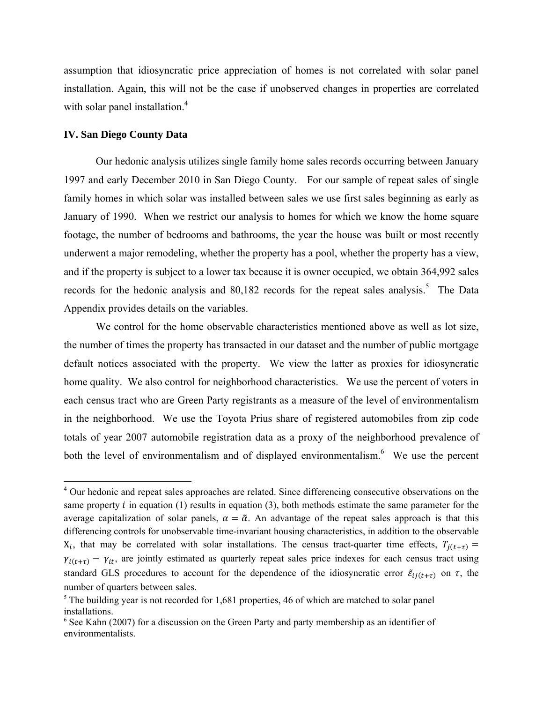assumption that idiosyncratic price appreciation of homes is not correlated with solar panel installation. Again, this will not be the case if unobserved changes in properties are correlated with solar panel installation.<sup>4</sup>

#### **IV. San Diego County Data**

Our hedonic analysis utilizes single family home sales records occurring between January 1997 and early December 2010 in San Diego County. For our sample of repeat sales of single family homes in which solar was installed between sales we use first sales beginning as early as January of 1990. When we restrict our analysis to homes for which we know the home square footage, the number of bedrooms and bathrooms, the year the house was built or most recently underwent a major remodeling, whether the property has a pool, whether the property has a view, and if the property is subject to a lower tax because it is owner occupied, we obtain 364,992 sales records for the hedonic analysis and  $80,182$  records for the repeat sales analysis.<sup>5</sup> The Data Appendix provides details on the variables.

We control for the home observable characteristics mentioned above as well as lot size, the number of times the property has transacted in our dataset and the number of public mortgage default notices associated with the property. We view the latter as proxies for idiosyncratic home quality. We also control for neighborhood characteristics. We use the percent of voters in each census tract who are Green Party registrants as a measure of the level of environmentalism in the neighborhood. We use the Toyota Prius share of registered automobiles from zip code totals of year 2007 automobile registration data as a proxy of the neighborhood prevalence of both the level of environmentalism and of displayed environmentalism.<sup>6</sup> We use the percent

<sup>&</sup>lt;sup>4</sup> Our hedonic and repeat sales approaches are related. Since differencing consecutive observations on the same property  $i$  in equation (1) results in equation (3), both methods estimate the same parameter for the average capitalization of solar panels,  $\alpha = \tilde{\alpha}$ . An advantage of the repeat sales approach is that this differencing controls for unobservable time-invariant housing characteristics, in addition to the observable  $X_i$ , that may be correlated with solar installations. The census tract-quarter time effects,  $T_{i(t+\tau)} =$  $\gamma_{i(t+\tau)} - \gamma_{it}$ , are jointly estimated as quarterly repeat sales price indexes for each census tract using standard GLS procedures to account for the dependence of the idiosyncratic error  $\tilde{\varepsilon}_{ij(t+\tau)}$  on  $\tau$ , the number of quarters between sales.

<sup>&</sup>lt;sup>5</sup> The building year is not recorded for 1,681 properties, 46 of which are matched to solar panel installations.

 $6$  See Kahn (2007) for a discussion on the Green Party and party membership as an identifier of environmentalists.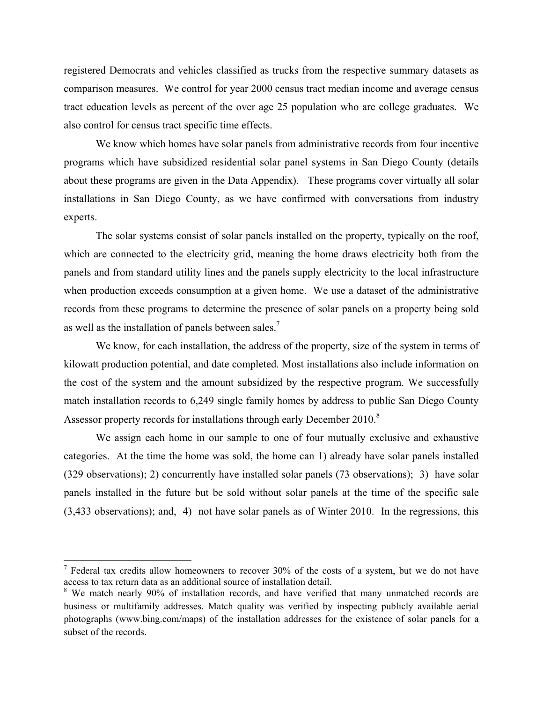registered Democrats and vehicles classified as trucks from the respective summary datasets as comparison measures. We control for year 2000 census tract median income and average census tract education levels as percent of the over age 25 population who are college graduates. We also control for census tract specific time effects.

We know which homes have solar panels from administrative records from four incentive programs which have subsidized residential solar panel systems in San Diego County (details about these programs are given in the Data Appendix). These programs cover virtually all solar installations in San Diego County, as we have confirmed with conversations from industry experts.

The solar systems consist of solar panels installed on the property, typically on the roof, which are connected to the electricity grid, meaning the home draws electricity both from the panels and from standard utility lines and the panels supply electricity to the local infrastructure when production exceeds consumption at a given home. We use a dataset of the administrative records from these programs to determine the presence of solar panels on a property being sold as well as the installation of panels between sales.7

We know, for each installation, the address of the property, size of the system in terms of kilowatt production potential, and date completed. Most installations also include information on the cost of the system and the amount subsidized by the respective program. We successfully match installation records to 6,249 single family homes by address to public San Diego County Assessor property records for installations through early December 2010.<sup>8</sup>

We assign each home in our sample to one of four mutually exclusive and exhaustive categories. At the time the home was sold, the home can 1) already have solar panels installed (329 observations); 2) concurrently have installed solar panels (73 observations); 3) have solar panels installed in the future but be sold without solar panels at the time of the specific sale (3,433 observations); and, 4) not have solar panels as of Winter 2010. In the regressions, this

 $<sup>7</sup>$  Federal tax credits allow homeowners to recover 30% of the costs of a system, but we do not have</sup> access to tax return data as an additional source of installation detail.

<sup>&</sup>lt;sup>8</sup> We match nearly 90% of installation records, and have verified that many unmatched records are business or multifamily addresses. Match quality was verified by inspecting publicly available aerial photographs (www.bing.com/maps) of the installation addresses for the existence of solar panels for a subset of the records.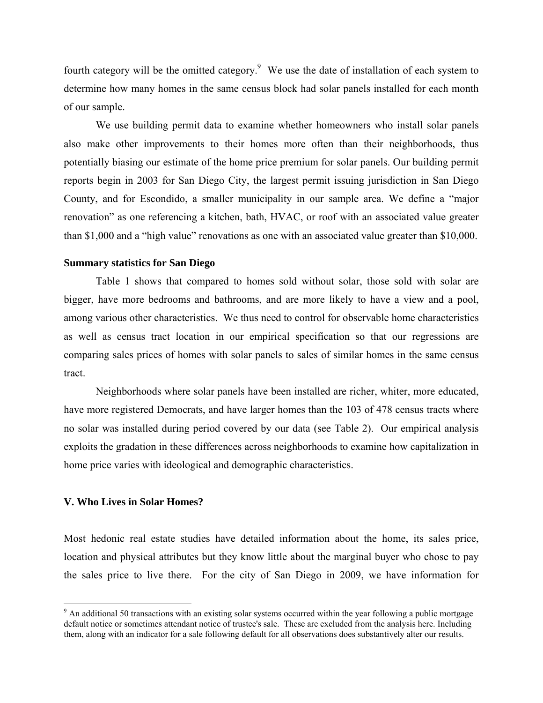fourth category will be the omitted category.<sup>9</sup> We use the date of installation of each system to determine how many homes in the same census block had solar panels installed for each month of our sample.

We use building permit data to examine whether homeowners who install solar panels also make other improvements to their homes more often than their neighborhoods, thus potentially biasing our estimate of the home price premium for solar panels. Our building permit reports begin in 2003 for San Diego City, the largest permit issuing jurisdiction in San Diego County, and for Escondido, a smaller municipality in our sample area. We define a "major renovation" as one referencing a kitchen, bath, HVAC, or roof with an associated value greater than \$1,000 and a "high value" renovations as one with an associated value greater than \$10,000.

#### **Summary statistics for San Diego**

Table 1 shows that compared to homes sold without solar, those sold with solar are bigger, have more bedrooms and bathrooms, and are more likely to have a view and a pool, among various other characteristics. We thus need to control for observable home characteristics as well as census tract location in our empirical specification so that our regressions are comparing sales prices of homes with solar panels to sales of similar homes in the same census tract.

Neighborhoods where solar panels have been installed are richer, whiter, more educated, have more registered Democrats, and have larger homes than the 103 of 478 census tracts where no solar was installed during period covered by our data (see Table 2). Our empirical analysis exploits the gradation in these differences across neighborhoods to examine how capitalization in home price varies with ideological and demographic characteristics.

#### **V. Who Lives in Solar Homes?**

Most hedonic real estate studies have detailed information about the home, its sales price, location and physical attributes but they know little about the marginal buyer who chose to pay the sales price to live there. For the city of San Diego in 2009, we have information for

<sup>&</sup>lt;sup>9</sup> An additional 50 transactions with an existing solar systems occurred within the year following a public mortgage default notice or sometimes attendant notice of trustee's sale. These are excluded from the analysis here. Including them, along with an indicator for a sale following default for all observations does substantively alter our results.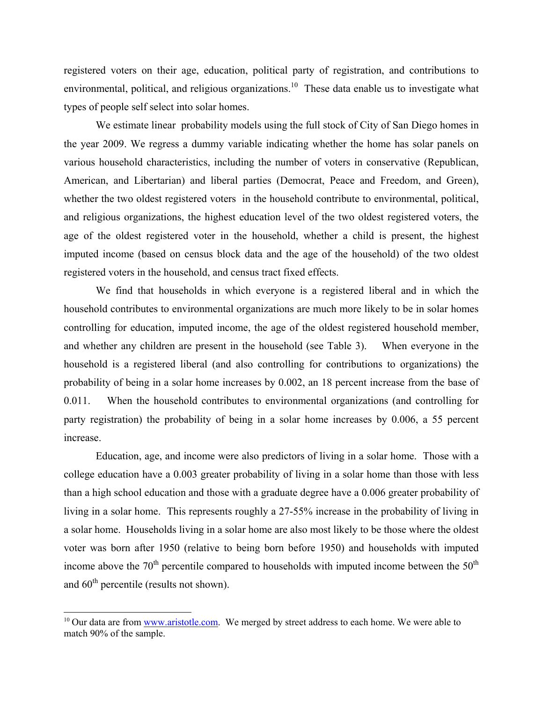registered voters on their age, education, political party of registration, and contributions to environmental, political, and religious organizations.<sup>10</sup> These data enable us to investigate what types of people self select into solar homes.

 We estimate linear probability models using the full stock of City of San Diego homes in the year 2009. We regress a dummy variable indicating whether the home has solar panels on various household characteristics, including the number of voters in conservative (Republican, American, and Libertarian) and liberal parties (Democrat, Peace and Freedom, and Green), whether the two oldest registered voters in the household contribute to environmental, political, and religious organizations, the highest education level of the two oldest registered voters, the age of the oldest registered voter in the household, whether a child is present, the highest imputed income (based on census block data and the age of the household) of the two oldest registered voters in the household, and census tract fixed effects.

 We find that households in which everyone is a registered liberal and in which the household contributes to environmental organizations are much more likely to be in solar homes controlling for education, imputed income, the age of the oldest registered household member, and whether any children are present in the household (see Table 3). When everyone in the household is a registered liberal (and also controlling for contributions to organizations) the probability of being in a solar home increases by 0.002, an 18 percent increase from the base of 0.011. When the household contributes to environmental organizations (and controlling for party registration) the probability of being in a solar home increases by 0.006, a 55 percent increase.

Education, age, and income were also predictors of living in a solar home. Those with a college education have a 0.003 greater probability of living in a solar home than those with less than a high school education and those with a graduate degree have a 0.006 greater probability of living in a solar home. This represents roughly a 27-55% increase in the probability of living in a solar home. Households living in a solar home are also most likely to be those where the oldest voter was born after 1950 (relative to being born before 1950) and households with imputed income above the  $70<sup>th</sup>$  percentile compared to households with imputed income between the  $50<sup>th</sup>$ and  $60<sup>th</sup>$  percentile (results not shown).

<sup>&</sup>lt;sup>10</sup> Our data are from www.aristotle.com. We merged by street address to each home. We were able to match 90% of the sample.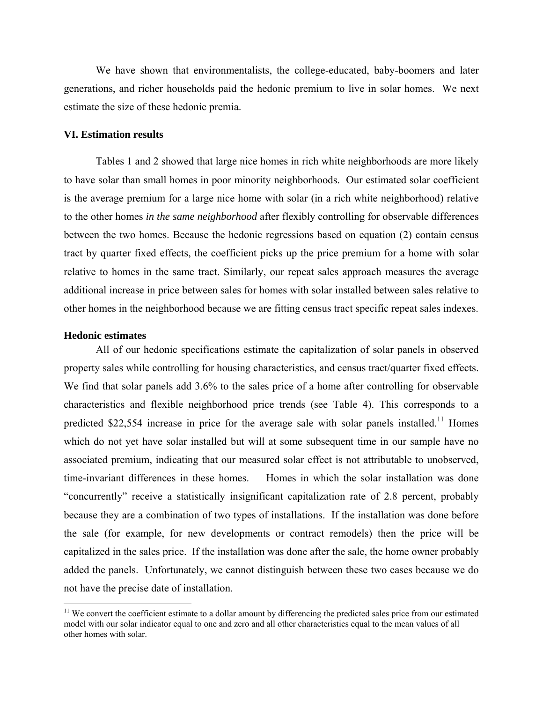We have shown that environmentalists, the college-educated, baby-boomers and later generations, and richer households paid the hedonic premium to live in solar homes. We next estimate the size of these hedonic premia.

#### **VI. Estimation results**

Tables 1 and 2 showed that large nice homes in rich white neighborhoods are more likely to have solar than small homes in poor minority neighborhoods. Our estimated solar coefficient is the average premium for a large nice home with solar (in a rich white neighborhood) relative to the other homes *in the same neighborhood* after flexibly controlling for observable differences between the two homes. Because the hedonic regressions based on equation (2) contain census tract by quarter fixed effects, the coefficient picks up the price premium for a home with solar relative to homes in the same tract. Similarly, our repeat sales approach measures the average additional increase in price between sales for homes with solar installed between sales relative to other homes in the neighborhood because we are fitting census tract specific repeat sales indexes.

#### **Hedonic estimates**

l

All of our hedonic specifications estimate the capitalization of solar panels in observed property sales while controlling for housing characteristics, and census tract/quarter fixed effects. We find that solar panels add 3.6% to the sales price of a home after controlling for observable characteristics and flexible neighborhood price trends (see Table 4). This corresponds to a predicted \$22,554 increase in price for the average sale with solar panels installed.<sup>11</sup> Homes which do not yet have solar installed but will at some subsequent time in our sample have no associated premium, indicating that our measured solar effect is not attributable to unobserved, time-invariant differences in these homes. Homes in which the solar installation was done "concurrently" receive a statistically insignificant capitalization rate of 2.8 percent, probably because they are a combination of two types of installations. If the installation was done before the sale (for example, for new developments or contract remodels) then the price will be capitalized in the sales price. If the installation was done after the sale, the home owner probably added the panels. Unfortunately, we cannot distinguish between these two cases because we do not have the precise date of installation.

<sup>&</sup>lt;sup>11</sup> We convert the coefficient estimate to a dollar amount by differencing the predicted sales price from our estimated model with our solar indicator equal to one and zero and all other characteristics equal to the mean values of all other homes with solar.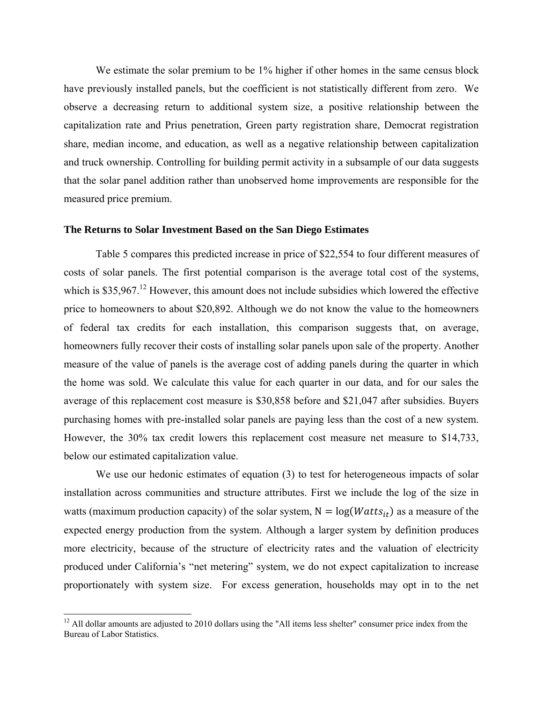We estimate the solar premium to be 1% higher if other homes in the same census block have previously installed panels, but the coefficient is not statistically different from zero. We observe a decreasing return to additional system size, a positive relationship between the capitalization rate and Prius penetration, Green party registration share, Democrat registration share, median income, and education, as well as a negative relationship between capitalization and truck ownership. Controlling for building permit activity in a subsample of our data suggests that the solar panel addition rather than unobserved home improvements are responsible for the measured price premium.

#### **The Returns to Solar Investment Based on the San Diego Estimates**

Table 5 compares this predicted increase in price of \$22,554 to four different measures of costs of solar panels. The first potential comparison is the average total cost of the systems, which is  $$35,967<sup>12</sup>$  However, this amount does not include subsidies which lowered the effective price to homeowners to about \$20,892. Although we do not know the value to the homeowners of federal tax credits for each installation, this comparison suggests that, on average, homeowners fully recover their costs of installing solar panels upon sale of the property. Another measure of the value of panels is the average cost of adding panels during the quarter in which the home was sold. We calculate this value for each quarter in our data, and for our sales the average of this replacement cost measure is \$30,858 before and \$21,047 after subsidies. Buyers purchasing homes with pre-installed solar panels are paying less than the cost of a new system. However, the 30% tax credit lowers this replacement cost measure net measure to \$14,733, below our estimated capitalization value.

We use our hedonic estimates of equation (3) to test for heterogeneous impacts of solar installation across communities and structure attributes. First we include the log of the size in watts (maximum production capacity) of the solar system,  $N = log(Watts_{it})$  as a measure of the expected energy production from the system. Although a larger system by definition produces more electricity, because of the structure of electricity rates and the valuation of electricity produced under California's "net metering" system, we do not expect capitalization to increase proportionately with system size. For excess generation, households may opt in to the net

 $12$  All dollar amounts are adjusted to 2010 dollars using the "All items less shelter" consumer price index from the Bureau of Labor Statistics.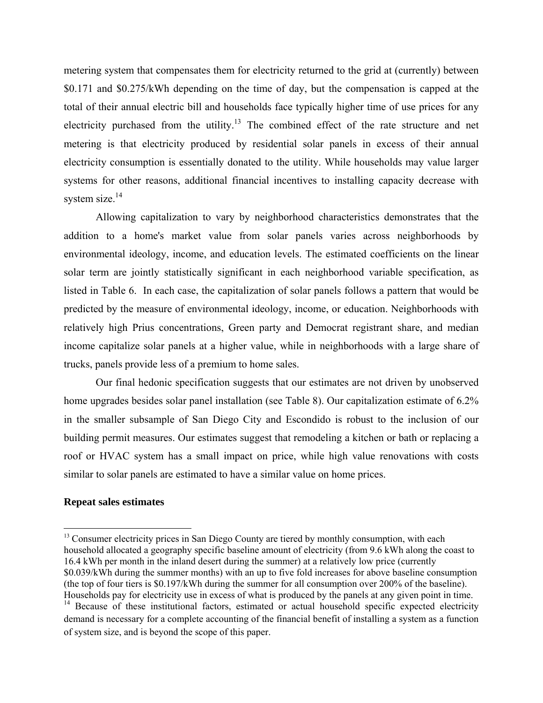metering system that compensates them for electricity returned to the grid at (currently) between \$0.171 and \$0.275/kWh depending on the time of day, but the compensation is capped at the total of their annual electric bill and households face typically higher time of use prices for any electricity purchased from the utility.<sup>13</sup> The combined effect of the rate structure and net metering is that electricity produced by residential solar panels in excess of their annual electricity consumption is essentially donated to the utility. While households may value larger systems for other reasons, additional financial incentives to installing capacity decrease with system size.<sup>14</sup>

Allowing capitalization to vary by neighborhood characteristics demonstrates that the addition to a home's market value from solar panels varies across neighborhoods by environmental ideology, income, and education levels. The estimated coefficients on the linear solar term are jointly statistically significant in each neighborhood variable specification, as listed in Table 6. In each case, the capitalization of solar panels follows a pattern that would be predicted by the measure of environmental ideology, income, or education. Neighborhoods with relatively high Prius concentrations, Green party and Democrat registrant share, and median income capitalize solar panels at a higher value, while in neighborhoods with a large share of trucks, panels provide less of a premium to home sales.

Our final hedonic specification suggests that our estimates are not driven by unobserved home upgrades besides solar panel installation (see Table 8). Our capitalization estimate of 6.2% in the smaller subsample of San Diego City and Escondido is robust to the inclusion of our building permit measures. Our estimates suggest that remodeling a kitchen or bath or replacing a roof or HVAC system has a small impact on price, while high value renovations with costs similar to solar panels are estimated to have a similar value on home prices.

#### **Repeat sales estimates**

 $13$  Consumer electricity prices in San Diego County are tiered by monthly consumption, with each household allocated a geography specific baseline amount of electricity (from 9.6 kWh along the coast to 16.4 kWh per month in the inland desert during the summer) at a relatively low price (currently \$0.039/kWh during the summer months) with an up to five fold increases for above baseline consumption (the top of four tiers is \$0.197/kWh during the summer for all consumption over 200% of the baseline). Households pay for electricity use in excess of what is produced by the panels at any given point in time. <sup>14</sup> Because of these institutional factors, estimated or actual household specific expected electricity demand is necessary for a complete accounting of the financial benefit of installing a system as a function

of system size, and is beyond the scope of this paper.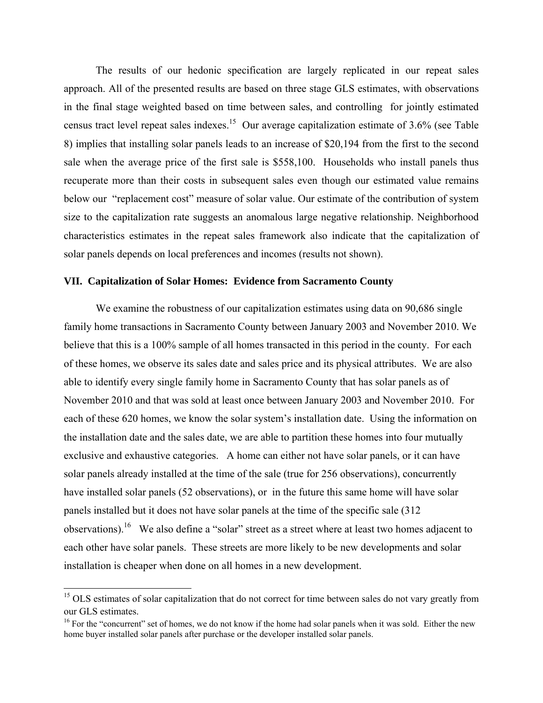The results of our hedonic specification are largely replicated in our repeat sales approach. All of the presented results are based on three stage GLS estimates, with observations in the final stage weighted based on time between sales, and controlling for jointly estimated census tract level repeat sales indexes.<sup>15</sup> Our average capitalization estimate of  $3.6\%$  (see Table 8) implies that installing solar panels leads to an increase of \$20,194 from the first to the second sale when the average price of the first sale is \$558,100. Households who install panels thus recuperate more than their costs in subsequent sales even though our estimated value remains below our "replacement cost" measure of solar value. Our estimate of the contribution of system size to the capitalization rate suggests an anomalous large negative relationship. Neighborhood characteristics estimates in the repeat sales framework also indicate that the capitalization of solar panels depends on local preferences and incomes (results not shown).

#### **VII. Capitalization of Solar Homes: Evidence from Sacramento County**

We examine the robustness of our capitalization estimates using data on 90,686 single family home transactions in Sacramento County between January 2003 and November 2010. We believe that this is a 100% sample of all homes transacted in this period in the county. For each of these homes, we observe its sales date and sales price and its physical attributes. We are also able to identify every single family home in Sacramento County that has solar panels as of November 2010 and that was sold at least once between January 2003 and November 2010. For each of these 620 homes, we know the solar system's installation date. Using the information on the installation date and the sales date, we are able to partition these homes into four mutually exclusive and exhaustive categories. A home can either not have solar panels, or it can have solar panels already installed at the time of the sale (true for 256 observations), concurrently have installed solar panels (52 observations), or in the future this same home will have solar panels installed but it does not have solar panels at the time of the specific sale (312 observations).16 We also define a "solar" street as a street where at least two homes adjacent to each other have solar panels. These streets are more likely to be new developments and solar installation is cheaper when done on all homes in a new development.

<sup>&</sup>lt;sup>15</sup> OLS estimates of solar capitalization that do not correct for time between sales do not vary greatly from our GLS estimates.

<sup>&</sup>lt;sup>16</sup> For the "concurrent" set of homes, we do not know if the home had solar panels when it was sold. Either the new home buyer installed solar panels after purchase or the developer installed solar panels.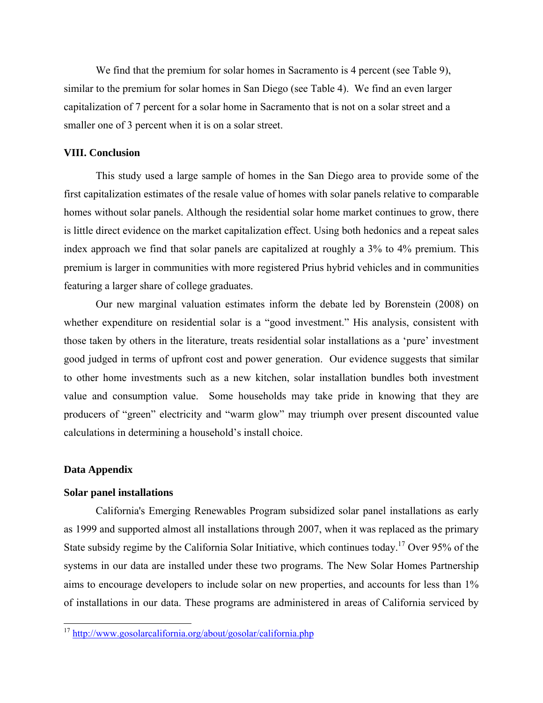We find that the premium for solar homes in Sacramento is 4 percent (see Table 9), similar to the premium for solar homes in San Diego (see Table 4). We find an even larger capitalization of 7 percent for a solar home in Sacramento that is not on a solar street and a smaller one of 3 percent when it is on a solar street.

#### **VIII. Conclusion**

This study used a large sample of homes in the San Diego area to provide some of the first capitalization estimates of the resale value of homes with solar panels relative to comparable homes without solar panels. Although the residential solar home market continues to grow, there is little direct evidence on the market capitalization effect. Using both hedonics and a repeat sales index approach we find that solar panels are capitalized at roughly a 3% to 4% premium. This premium is larger in communities with more registered Prius hybrid vehicles and in communities featuring a larger share of college graduates.

Our new marginal valuation estimates inform the debate led by Borenstein (2008) on whether expenditure on residential solar is a "good investment." His analysis, consistent with those taken by others in the literature, treats residential solar installations as a 'pure' investment good judged in terms of upfront cost and power generation. Our evidence suggests that similar to other home investments such as a new kitchen, solar installation bundles both investment value and consumption value. Some households may take pride in knowing that they are producers of "green" electricity and "warm glow" may triumph over present discounted value calculations in determining a household's install choice.

#### **Data Appendix**

l

#### **Solar panel installations**

California's Emerging Renewables Program subsidized solar panel installations as early as 1999 and supported almost all installations through 2007, when it was replaced as the primary State subsidy regime by the California Solar Initiative, which continues today.17 Over 95% of the systems in our data are installed under these two programs. The New Solar Homes Partnership aims to encourage developers to include solar on new properties, and accounts for less than 1% of installations in our data. These programs are administered in areas of California serviced by

<sup>&</sup>lt;sup>17</sup> http://www.gosolarcalifornia.org/about/gosolar/california.php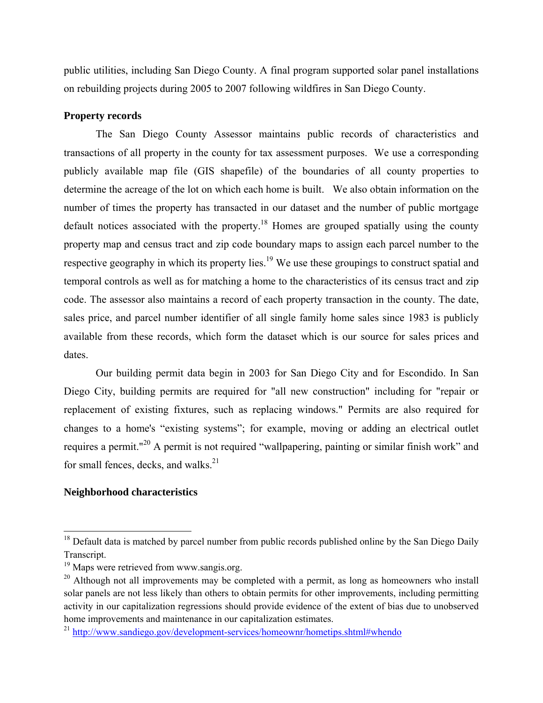public utilities, including San Diego County. A final program supported solar panel installations on rebuilding projects during 2005 to 2007 following wildfires in San Diego County.

# **Property records**

The San Diego County Assessor maintains public records of characteristics and transactions of all property in the county for tax assessment purposes. We use a corresponding publicly available map file (GIS shapefile) of the boundaries of all county properties to determine the acreage of the lot on which each home is built. We also obtain information on the number of times the property has transacted in our dataset and the number of public mortgage default notices associated with the property.<sup>18</sup> Homes are grouped spatially using the county property map and census tract and zip code boundary maps to assign each parcel number to the respective geography in which its property lies.<sup>19</sup> We use these groupings to construct spatial and temporal controls as well as for matching a home to the characteristics of its census tract and zip code. The assessor also maintains a record of each property transaction in the county. The date, sales price, and parcel number identifier of all single family home sales since 1983 is publicly available from these records, which form the dataset which is our source for sales prices and dates.

Our building permit data begin in 2003 for San Diego City and for Escondido. In San Diego City, building permits are required for "all new construction" including for "repair or replacement of existing fixtures, such as replacing windows." Permits are also required for changes to a home's "existing systems"; for example, moving or adding an electrical outlet requires a permit."20 A permit is not required "wallpapering, painting or similar finish work" and for small fences, decks, and walks.<sup>21</sup>

# **Neighborhood characteristics**

 $18$  Default data is matched by parcel number from public records published online by the San Diego Daily Transcript.

<sup>&</sup>lt;sup>19</sup> Maps were retrieved from www.sangis.org.

 $20$  Although not all improvements may be completed with a permit, as long as homeowners who install solar panels are not less likely than others to obtain permits for other improvements, including permitting activity in our capitalization regressions should provide evidence of the extent of bias due to unobserved home improvements and maintenance in our capitalization estimates.

<sup>&</sup>lt;sup>21</sup> http://www.sandiego.gov/development-services/homeownr/hometips.shtml#whendo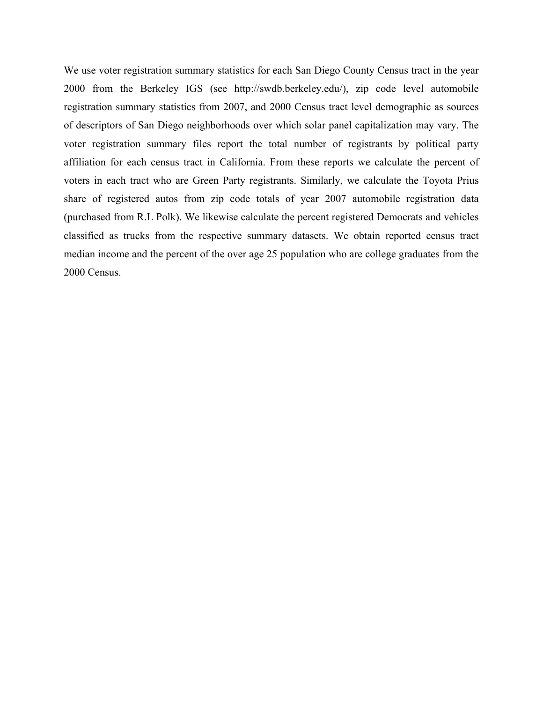We use voter registration summary statistics for each San Diego County Census tract in the year 2000 from the Berkeley IGS (see http://swdb.berkeley.edu/), zip code level automobile registration summary statistics from 2007, and 2000 Census tract level demographic as sources of descriptors of San Diego neighborhoods over which solar panel capitalization may vary. The voter registration summary files report the total number of registrants by political party affiliation for each census tract in California. From these reports we calculate the percent of voters in each tract who are Green Party registrants. Similarly, we calculate the Toyota Prius share of registered autos from zip code totals of year 2007 automobile registration data (purchased from R.L Polk). We likewise calculate the percent registered Democrats and vehicles classified as trucks from the respective summary datasets. We obtain reported census tract median income and the percent of the over age 25 population who are college graduates from the 2000 Census.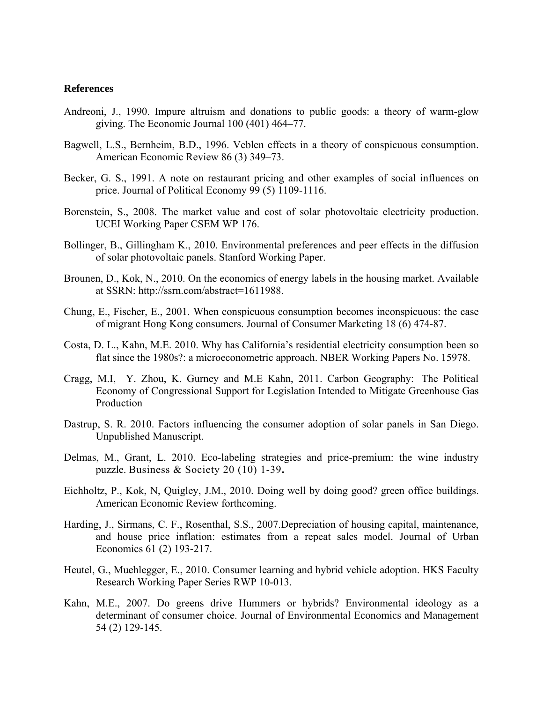#### **References**

- Andreoni, J., 1990. Impure altruism and donations to public goods: a theory of warm-glow giving. The Economic Journal 100 (401) 464–77.
- Bagwell, L.S., Bernheim, B.D., 1996. Veblen effects in a theory of conspicuous consumption. American Economic Review 86 (3) 349–73.
- Becker, G. S., 1991. A note on restaurant pricing and other examples of social influences on price. Journal of Political Economy 99 (5) 1109-1116.
- Borenstein, S., 2008. The market value and cost of solar photovoltaic electricity production. UCEI Working Paper CSEM WP 176.
- Bollinger, B., Gillingham K., 2010. Environmental preferences and peer effects in the diffusion of solar photovoltaic panels. Stanford Working Paper.
- Brounen, D., Kok, N., 2010. On the economics of energy labels in the housing market. Available at SSRN: http://ssrn.com/abstract=1611988.
- Chung, E., Fischer, E., 2001. When conspicuous consumption becomes inconspicuous: the case of migrant Hong Kong consumers. Journal of Consumer Marketing 18 (6) 474-87.
- Costa, D. L., Kahn, M.E. 2010. Why has California's residential electricity consumption been so flat since the 1980s?: a microeconometric approach. NBER Working Papers No. 15978.
- Cragg, M.I, Y. Zhou, K. Gurney and M.E Kahn, 2011. Carbon Geography: The Political Economy of Congressional Support for Legislation Intended to Mitigate Greenhouse Gas Production
- Dastrup, S. R. 2010. Factors influencing the consumer adoption of solar panels in San Diego. Unpublished Manuscript.
- Delmas, M., Grant, L. 2010. Eco-labeling strategies and price-premium: the wine industry puzzle. Business & Society 20 (10) 1-39**.**
- Eichholtz, P., Kok, N, Quigley, J.M., 2010. Doing well by doing good? green office buildings. American Economic Review forthcoming.
- Harding, J., Sirmans, C. F., Rosenthal, S.S., 2007.Depreciation of housing capital, maintenance, and house price inflation: estimates from a repeat sales model. Journal of Urban Economics 61 (2) 193-217.
- Heutel, G., Muehlegger, E., 2010. Consumer learning and hybrid vehicle adoption. HKS Faculty Research Working Paper Series RWP 10-013.
- Kahn, M.E., 2007. Do greens drive Hummers or hybrids? Environmental ideology as a determinant of consumer choice. Journal of Environmental Economics and Management 54 (2) 129-145.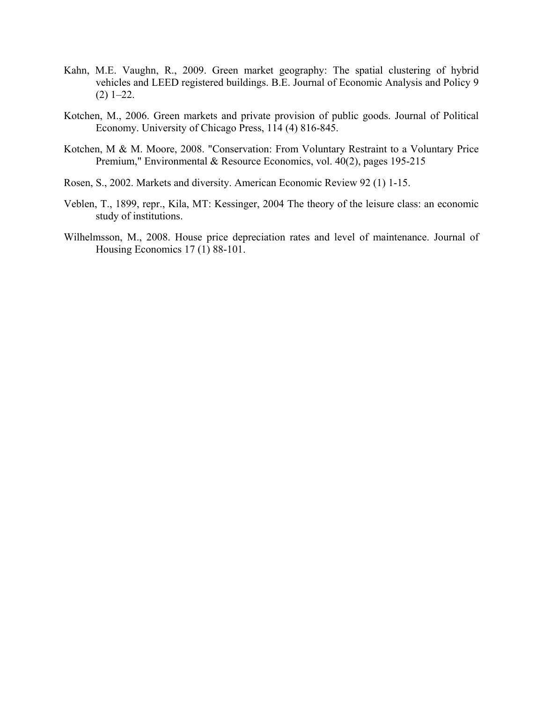- Kahn, M.E. Vaughn, R., 2009. Green market geography: The spatial clustering of hybrid vehicles and LEED registered buildings. B.E. Journal of Economic Analysis and Policy 9  $(2)$  1–22.
- Kotchen, M., 2006. Green markets and private provision of public goods. Journal of Political Economy. University of Chicago Press, 114 (4) 816-845.
- Kotchen, M & M. Moore, 2008. "Conservation: From Voluntary Restraint to a Voluntary Price Premium," Environmental & Resource Economics, vol. 40(2), pages 195-215
- Rosen, S., 2002. Markets and diversity. American Economic Review 92 (1) 1-15.
- Veblen, T., 1899, repr., Kila, MT: Kessinger, 2004 The theory of the leisure class: an economic study of institutions.
- Wilhelmsson, M., 2008. House price depreciation rates and level of maintenance. Journal of Housing Economics 17 (1) 88-101.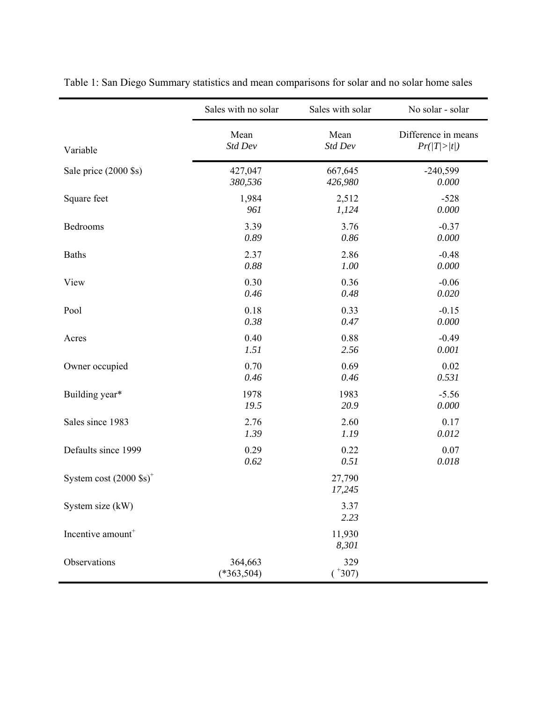|                                   | Sales with no solar     | Sales with solar   | No solar - solar    |
|-----------------------------------|-------------------------|--------------------|---------------------|
| Variable                          | Mean                    | Mean               | Difference in means |
|                                   | Std Dev                 | Std Dev            | Pr( T > t )         |
| Sale price (2000 \$s)             | 427,047                 | 667,645            | $-240,599$          |
|                                   | 380,536                 | 426,980            | 0.000               |
| Square feet                       | 1,984                   | 2,512              | $-528$              |
|                                   | 961                     | 1,124              | 0.000               |
| Bedrooms                          | 3.39                    | 3.76               | $-0.37$             |
|                                   | 0.89                    | 0.86               | 0.000               |
| <b>Baths</b>                      | 2.37                    | 2.86               | $-0.48$             |
|                                   | 0.88                    | 1.00               | 0.000               |
| View                              | 0.30                    | 0.36               | $-0.06$             |
|                                   | 0.46                    | 0.48               | 0.020               |
| Pool                              | 0.18                    | 0.33               | $-0.15$             |
|                                   | 0.38                    | 0.47               | 0.000               |
| Acres                             | 0.40                    | 0.88               | $-0.49$             |
|                                   | 1.51                    | 2.56               | 0.001               |
| Owner occupied                    | 0.70                    | 0.69               | 0.02                |
|                                   | 0.46                    | 0.46               | 0.531               |
| Building year*                    | 1978                    | 1983               | $-5.56$             |
|                                   | 19.5                    | 20.9               | 0.000               |
| Sales since 1983                  | 2.76                    | 2.60               | 0.17                |
|                                   | 1.39                    | 1.19               | 0.012               |
| Defaults since 1999               | 0.29                    | 0.22               | 0.07                |
|                                   | 0.62                    | 0.51               | 0.018               |
| System cost $(2000 \text{ Ss})^+$ |                         | 27,790<br>17,245   |                     |
| System size (kW)                  |                         | 3.37<br>2.23       |                     |
| Incentive amount <sup>+</sup>     |                         | 11,930<br>8,301    |                     |
| Observations                      | 364,663<br>$(*363,504)$ | 329<br>$(^{+}307)$ |                     |

Table 1: San Diego Summary statistics and mean comparisons for solar and no solar home sales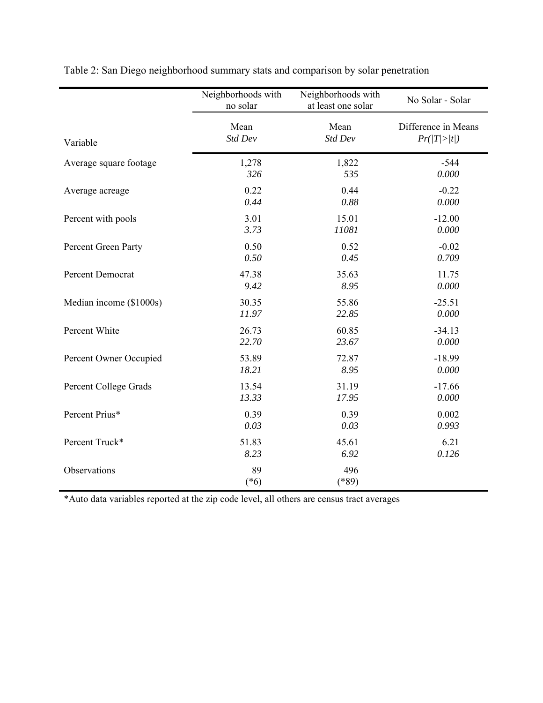|                         | Neighborhoods with<br>no solar | Neighborhoods with<br>at least one solar | No Solar - Solar    |
|-------------------------|--------------------------------|------------------------------------------|---------------------|
| Variable                | Mean                           | Mean                                     | Difference in Means |
|                         | Std Dev                        | Std Dev                                  | Pr( T > t )         |
| Average square footage  | 1,278                          | 1,822                                    | $-544$              |
|                         | 326                            | 535                                      | 0.000               |
| Average acreage         | 0.22                           | 0.44                                     | $-0.22$             |
|                         | 0.44                           | 0.88                                     | 0.000               |
| Percent with pools      | 3.01                           | 15.01                                    | $-12.00$            |
|                         | 3.73                           | 11081                                    | 0.000               |
| Percent Green Party     | 0.50                           | 0.52                                     | $-0.02$             |
|                         | 0.50                           | 0.45                                     | 0.709               |
| Percent Democrat        | 47.38                          | 35.63                                    | 11.75               |
|                         | 9.42                           | 8.95                                     | 0.000               |
| Median income (\$1000s) | 30.35                          | 55.86                                    | $-25.51$            |
|                         | 11.97                          | 22.85                                    | 0.000               |
| Percent White           | 26.73                          | 60.85                                    | $-34.13$            |
|                         | 22.70                          | 23.67                                    | 0.000               |
| Percent Owner Occupied  | 53.89                          | 72.87                                    | $-18.99$            |
|                         | 18.21                          | 8.95                                     | 0.000               |
| Percent College Grads   | 13.54                          | 31.19                                    | $-17.66$            |
|                         | 13.33                          | 17.95                                    | 0.000               |
| Percent Prius*          | 0.39                           | 0.39                                     | 0.002               |
|                         | 0.03                           | 0.03                                     | 0.993               |
| Percent Truck*          | 51.83                          | 45.61                                    | 6.21                |
|                         | 8.23                           | 6.92                                     | 0.126               |
| Observations            | 89<br>$(*6)$                   | 496<br>$(*89)$                           |                     |

Table 2: San Diego neighborhood summary stats and comparison by solar penetration

\*Auto data variables reported at the zip code level, all others are census tract averages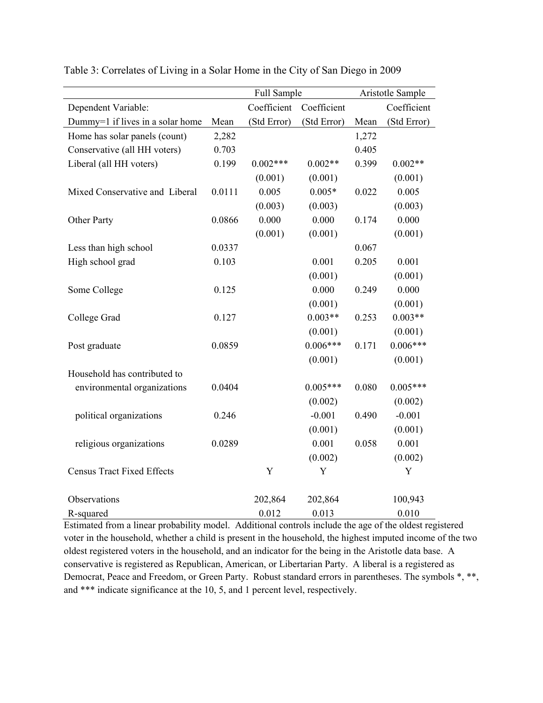|                                   |        | Full Sample |             | Aristotle Sample |             |
|-----------------------------------|--------|-------------|-------------|------------------|-------------|
| Dependent Variable:               |        | Coefficient | Coefficient |                  | Coefficient |
| Dummy=1 if lives in a solar home  | Mean   | (Std Error) | (Std Error) | Mean             | (Std Error) |
| Home has solar panels (count)     | 2,282  |             |             | 1,272            |             |
| Conservative (all HH voters)      | 0.703  |             |             | 0.405            |             |
| Liberal (all HH voters)           | 0.199  | $0.002***$  | $0.002**$   | 0.399            | $0.002**$   |
|                                   |        | (0.001)     | (0.001)     |                  | (0.001)     |
| Mixed Conservative and Liberal    | 0.0111 | 0.005       | $0.005*$    | 0.022            | 0.005       |
|                                   |        | (0.003)     | (0.003)     |                  | (0.003)     |
| Other Party                       | 0.0866 | 0.000       | 0.000       | 0.174            | 0.000       |
|                                   |        | (0.001)     | (0.001)     |                  | (0.001)     |
| Less than high school             | 0.0337 |             |             | 0.067            |             |
| High school grad                  | 0.103  |             | 0.001       | 0.205            | 0.001       |
|                                   |        |             | (0.001)     |                  | (0.001)     |
| Some College                      | 0.125  |             | 0.000       | 0.249            | 0.000       |
|                                   |        |             | (0.001)     |                  | (0.001)     |
| College Grad                      | 0.127  |             | $0.003**$   | 0.253            | $0.003**$   |
|                                   |        |             | (0.001)     |                  | (0.001)     |
| Post graduate                     | 0.0859 |             | $0.006***$  | 0.171            | $0.006***$  |
|                                   |        |             | (0.001)     |                  | (0.001)     |
| Household has contributed to      |        |             |             |                  |             |
| environmental organizations       | 0.0404 |             | $0.005***$  | 0.080            | $0.005***$  |
|                                   |        |             | (0.002)     |                  | (0.002)     |
| political organizations           | 0.246  |             | $-0.001$    | 0.490            | $-0.001$    |
|                                   |        |             | (0.001)     |                  | (0.001)     |
| religious organizations           | 0.0289 |             | 0.001       | 0.058            | 0.001       |
|                                   |        |             | (0.002)     |                  | (0.002)     |
| <b>Census Tract Fixed Effects</b> |        | Y           | Y           |                  | Y           |
|                                   |        |             |             |                  |             |
| Observations                      |        | 202,864     | 202,864     |                  | 100,943     |
| R-squared                         |        | 0.012       | 0.013       |                  | 0.010       |

Table 3: Correlates of Living in a Solar Home in the City of San Diego in 2009

Estimated from a linear probability model. Additional controls include the age of the oldest registered voter in the household, whether a child is present in the household, the highest imputed income of the two oldest registered voters in the household, and an indicator for the being in the Aristotle data base. A conservative is registered as Republican, American, or Libertarian Party. A liberal is a registered as Democrat, Peace and Freedom, or Green Party. Robust standard errors in parentheses. The symbols \*, \*\*, and \*\*\* indicate significance at the 10, 5, and 1 percent level, respectively.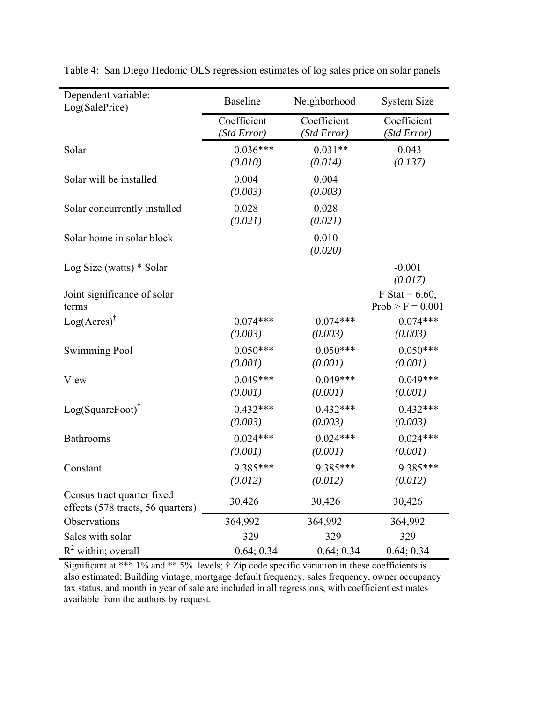| Dependent variable:<br>Log(SalePrice)                           | <b>Baseline</b>            | Neighborhood               | <b>System Size</b>                      |
|-----------------------------------------------------------------|----------------------------|----------------------------|-----------------------------------------|
|                                                                 | Coefficient<br>(Std Error) | Coefficient<br>(Std Error) | Coefficient<br>(Std Error)              |
| Solar                                                           | $0.036***$<br>(0.010)      | $0.031**$<br>(0.014)       | 0.043<br>(0.137)                        |
| Solar will be installed                                         | 0.004<br>(0.003)           | 0.004<br>(0.003)           |                                         |
| Solar concurrently installed                                    | 0.028<br>(0.021)           | 0.028<br>(0.021)           |                                         |
| Solar home in solar block                                       |                            | 0.010<br>(0.020)           |                                         |
| Log Size (watts) $*$ Solar                                      |                            |                            | $-0.001$<br>(0.017)                     |
| Joint significance of solar<br>terms                            |                            |                            | F Stat = $6.60$ ,<br>$Prob > F = 0.001$ |
| $Log(Acres)^{\dagger}$                                          | $0.074***$<br>(0.003)      | $0.074***$<br>(0.003)      | $0.074***$<br>(0.003)                   |
| <b>Swimming Pool</b>                                            | $0.050***$<br>(0.001)      | $0.050***$<br>(0.001)      | $0.050***$<br>(0.001)                   |
| View                                                            | $0.049***$<br>(0.001)      | $0.049***$<br>(0.001)      | $0.049***$<br>(0.001)                   |
| $Log(Square Foot)^T$                                            | $0.432***$<br>(0.003)      | $0.432***$<br>(0.003)      | $0.432***$<br>(0.003)                   |
| Bathrooms                                                       | $0.024***$<br>(0.001)      | $0.024***$<br>(0.001)      | $0.024***$<br>(0.001)                   |
| Constant                                                        | 9.385***<br>(0.012)        | 9.385***<br>(0.012)        | 9.385***<br>(0.012)                     |
| Census tract quarter fixed<br>effects (578 tracts, 56 quarters) | 30,426                     | 30,426                     | 30,426                                  |
| Observations                                                    | 364,992                    | 364,992                    | 364,992                                 |
| Sales with solar                                                | 329                        | 329                        | 329                                     |
| $R^2$ within; overall                                           | 0.64; 0.34                 | 0.64; 0.34                 | 0.64; 0.34                              |

Table 4: San Diego Hedonic OLS regression estimates of log sales price on solar panels

Significant at \*\*\* 1% and \*\* 5% levels;  $\dagger$  Zip code specific variation in these coefficients is also estimated; Building vintage, mortgage default frequency, sales frequency, owner occupancy tax status, and month in year of sale are included in all regressions, with coefficient estimates available from the authors by request.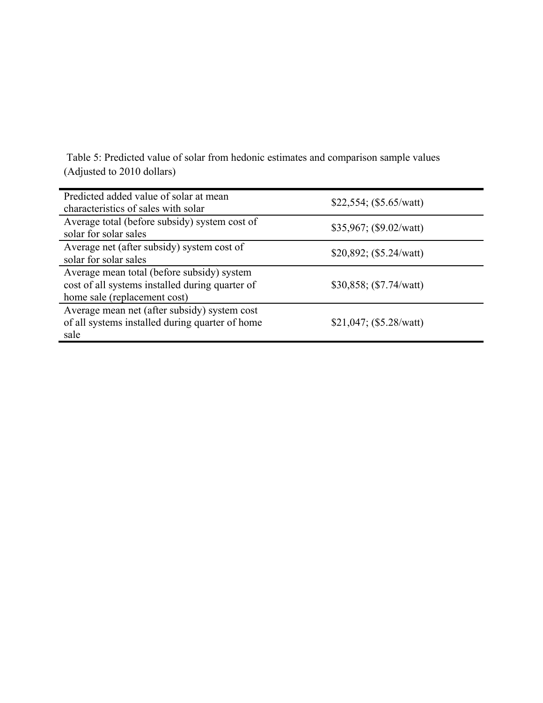Table 5: Predicted value of solar from hedonic estimates and comparison sample values (Adjusted to 2010 dollars)

| Predicted added value of solar at mean<br>characteristics of sales with solar                                                 | \$22,554; (\$5.65/watt) |
|-------------------------------------------------------------------------------------------------------------------------------|-------------------------|
| Average total (before subsidy) system cost of<br>solar for solar sales                                                        | \$35,967; (\$9.02/watt) |
| Average net (after subsidy) system cost of<br>solar for solar sales                                                           | \$20,892; (\$5.24/watt) |
| Average mean total (before subsidy) system<br>cost of all systems installed during quarter of<br>home sale (replacement cost) | \$30,858; (\$7.74/watt) |
| Average mean net (after subsidy) system cost<br>of all systems installed during quarter of home<br>sale                       | \$21,047; (\$5.28/watt) |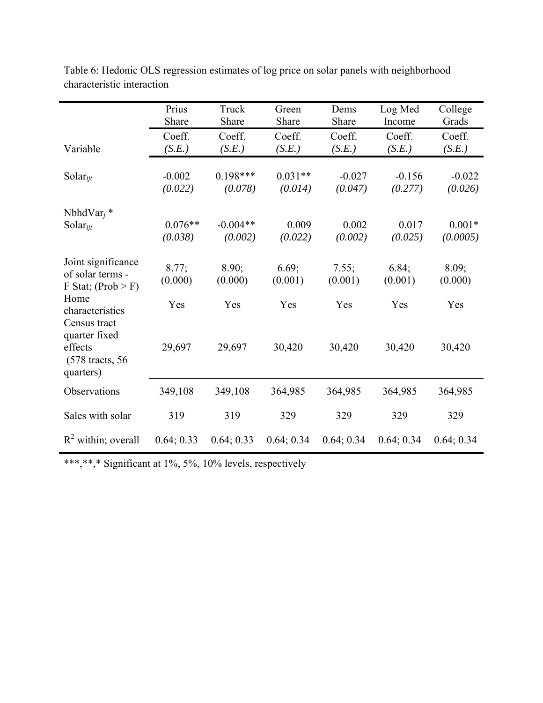|                                                                  | Prius<br>Share       | Truck<br>Share        | Green<br>Share       | Dems<br>Share       | Log Med<br>Income   | College<br>Grads     |
|------------------------------------------------------------------|----------------------|-----------------------|----------------------|---------------------|---------------------|----------------------|
| Variable                                                         | Coeff.<br>(S.E.)     | Coeff.<br>(S.E.)      | Coeff.<br>(S.E.)     | Coeff.<br>(S.E.)    | Coeff.<br>(S.E.)    | Coeff.<br>(S.E.)     |
| Solar $_{ijt}$                                                   | $-0.002$<br>(0.022)  | $0.198***$<br>(0.078) | $0.031**$<br>(0.014) | $-0.027$<br>(0.047) | $-0.156$<br>(0.277) | $-0.022$<br>(0.026)  |
| NbhdVar <sub>i</sub> $*$<br>Solar $_{ijt}$                       | $0.076**$<br>(0.038) | $-0.004**$<br>(0.002) | 0.009<br>(0.022)     | 0.002<br>(0.002)    | 0.017<br>(0.025)    | $0.001*$<br>(0.0005) |
| Joint significance<br>of solar terms -<br>$F$ Stat; (Prob $>$ F) | 8.77;<br>(0.000)     | 8.90;<br>(0.000)      | 6.69;<br>(0.001)     | 7.55;<br>(0.001)    | 6.84;<br>(0.001)    | 8.09;<br>(0.000)     |
| Home<br>characteristics<br>Census tract<br>quarter fixed         | Yes                  | Yes                   | Yes                  | Yes                 | Yes                 | Yes                  |
| effects<br>(578 tracts, 56)<br>quarters)                         | 29,697               | 29,697                | 30,420               | 30,420              | 30,420              | 30,420               |
| Observations                                                     | 349,108              | 349,108               | 364,985              | 364,985             | 364,985             | 364,985              |
| Sales with solar                                                 | 319                  | 319                   | 329                  | 329                 | 329                 | 329                  |
| $R^2$ within; overall                                            | 0.64; 0.33           | 0.64; 0.33            | 0.64; 0.34           | 0.64; 0.34          | 0.64; 0.34          | 0.64; 0.34           |

Table 6: Hedonic OLS regression estimates of log price on solar panels with neighborhood characteristic interaction

\*\*\*,\*\*,\* Significant at 1%, 5%, 10% levels, respectively

j.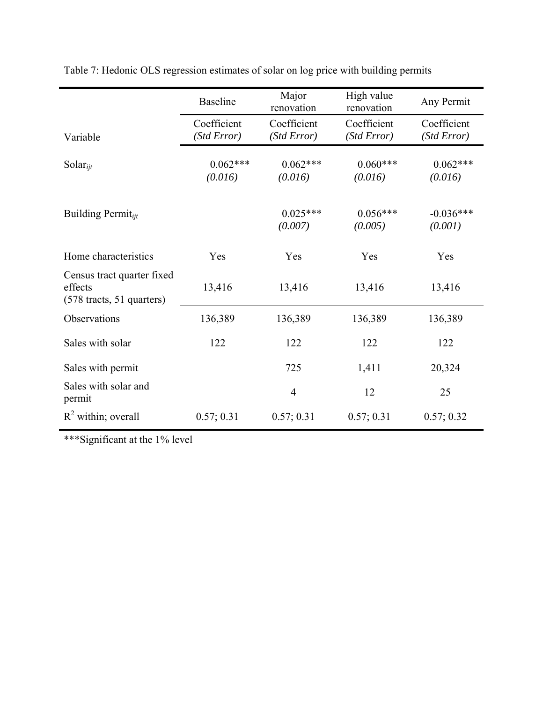|                                                                                      | <b>Baseline</b>            | Major<br>renovation        | High value<br>renovation   | Any Permit                 |
|--------------------------------------------------------------------------------------|----------------------------|----------------------------|----------------------------|----------------------------|
| Variable                                                                             | Coefficient<br>(Std Error) | Coefficient<br>(Std Error) | Coefficient<br>(Std Error) | Coefficient<br>(Std Error) |
| Solar $_{ijt}$                                                                       | $0.062***$<br>(0.016)      | $0.062***$<br>(0.016)      | $0.060***$<br>(0.016)      | $0.062***$<br>(0.016)      |
| Building Permit $_{iit}$                                                             |                            | $0.025***$<br>(0.007)      | $0.056***$<br>(0.005)      | $-0.036***$<br>(0.001)     |
| Home characteristics                                                                 | Yes                        | Yes                        | Yes                        | Yes                        |
| Census tract quarter fixed<br>effects<br>$(578 \text{ tracts}, 51 \text{ quarters})$ | 13,416                     | 13,416                     | 13,416                     | 13,416                     |
| Observations                                                                         | 136,389                    | 136,389                    | 136,389                    | 136,389                    |
| Sales with solar                                                                     | 122                        | 122                        | 122                        | 122                        |
| Sales with permit                                                                    |                            | 725                        | 1,411                      | 20,324                     |
| Sales with solar and<br>permit                                                       |                            | $\overline{4}$             | 12                         | 25                         |
| $R^2$ within; overall                                                                | 0.57; 0.31                 | 0.57; 0.31                 | 0.57; 0.31                 | 0.57; 0.32                 |

Table 7: Hedonic OLS regression estimates of solar on log price with building permits

\*\*\*Significant at the 1% level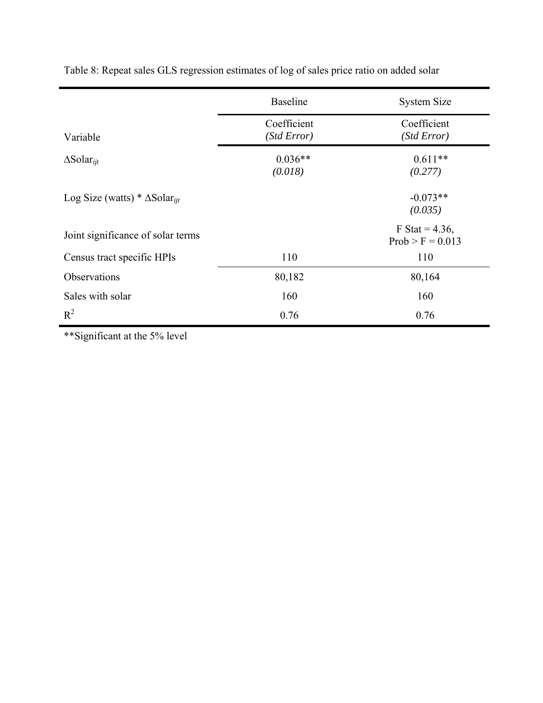|                                                  | <b>Baseline</b>            | <b>System Size</b>                      |
|--------------------------------------------------|----------------------------|-----------------------------------------|
| Variable                                         | Coefficient<br>(Std Error) | Coefficient<br>(Std Error)              |
| $\Delta$ Solar <sub>iit</sub>                    | $0.036**$<br>(0.018)       | $0.611**$<br>(0.277)                    |
| Log Size (watts) * $\Delta$ Solar <sub>iit</sub> |                            | $-0.073**$<br>(0.035)                   |
| Joint significance of solar terms                |                            | F Stat = $4.36$ ,<br>$Prob > F = 0.013$ |
| Census tract specific HPIs                       | 110                        | 110                                     |
| Observations                                     | 80,182                     | 80,164                                  |
| Sales with solar                                 | 160                        | 160                                     |
| $R^2$                                            | 0.76                       | 0.76                                    |

Table 8: Repeat sales GLS regression estimates of log of sales price ratio on added solar

\*\*Significant at the 5% level